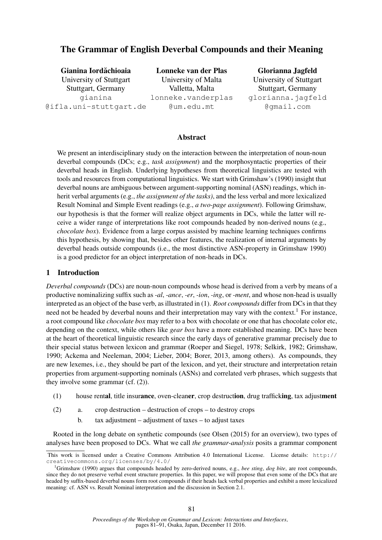# The Grammar of English Deverbal Compounds and their Meaning

Gianina Iordăchioaia University of Stuttgart Stuttgart, Germany gianina @ifla.uni-stuttgart.de

Lonneke van der Plas University of Malta Valletta, Malta lonneke.vanderplas @um.edu.mt

Glorianna Jagfeld University of Stuttgart Stuttgart, Germany glorianna.jagfeld @gmail.com

# Abstract

We present an interdisciplinary study on the interaction between the interpretation of noun-noun deverbal compounds (DCs; e.g., *task assignment*) and the morphosyntactic properties of their deverbal heads in English. Underlying hypotheses from theoretical linguistics are tested with tools and resources from computational linguistics. We start with Grimshaw's (1990) insight that deverbal nouns are ambiguous between argument-supporting nominal (ASN) readings, which inherit verbal arguments (e.g., *the assignment of the tasks)*, and the less verbal and more lexicalized Result Nominal and Simple Event readings (e.g., *a two-page assignment*). Following Grimshaw, our hypothesis is that the former will realize object arguments in DCs, while the latter will receive a wider range of interpretations like root compounds headed by non-derived nouns (e.g., *chocolate box*). Evidence from a large corpus assisted by machine learning techniques confirms this hypothesis, by showing that, besides other features, the realization of internal arguments by deverbal heads outside compounds (i.e., the most distinctive ASN-property in Grimshaw 1990) is a good predictor for an object interpretation of non-heads in DCs.

# 1 Introduction

*Deverbal compounds* (DCs) are noun-noun compounds whose head is derived from a verb by means of a productive nominalizing suffix such as *-al*, *-ance*, *-er*, *-ion*, *-ing*, or *-ment*, and whose non-head is usually interpreted as an object of the base verb, as illustrated in (1). *Root compounds* differ from DCs in that they need not be headed by deverbal nouns and their interpretation may vary with the context.<sup>1</sup> For instance, a root compound like *chocolate box* may refer to a box with chocolate or one that has chocolate color etc, depending on the context, while others like *gear box* have a more established meaning. DCs have been at the heart of theoretical linguistic research since the early days of generative grammar precisely due to their special status between lexicon and grammar (Roeper and Siegel, 1978; Selkirk, 1982; Grimshaw, 1990; Ackema and Neeleman, 2004; Lieber, 2004; Borer, 2013, among others). As compounds, they are new lexemes, i.e., they should be part of the lexicon, and yet, their structure and interpretation retain properties from argument-supporting nominals (ASNs) and correlated verb phrases, which suggests that they involve some grammar (cf. (2)).

- (1) house rental, title insurance, oven-cleaner, crop destruction, drug trafficking, tax adjustment
- (2) a. crop destruction destruction of crops to destroy crops
	- b. tax adjustment adjustment of taxes to adjust taxes

Rooted in the long debate on synthetic compounds (see Olsen (2015) for an overview), two types of analyses have been proposed to DCs. What we call *the grammar-analysis* posits a grammar component

This work is licensed under a Creative Commons Attribution 4.0 International License. License details: http:// creativecommons.org/licenses/by/4.0/

<sup>1</sup>Grimshaw (1990) argues that compounds headed by zero-derived nouns, e.g., *bee sting*, *dog bite*, are root compounds, since they do not preserve verbal event structure properties. In this paper, we will propose that even some of the DCs that are headed by suffix-based deverbal nouns form root compounds if their heads lack verbal properties and exhibit a more lexicalized meaning: cf. ASN vs. Result Nominal interpretation and the discussion in Section 2.1.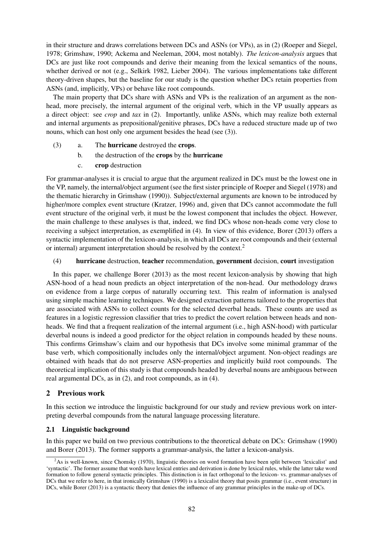in their structure and draws correlations between DCs and ASNs (or VPs), as in (2) (Roeper and Siegel, 1978; Grimshaw, 1990; Ackema and Neeleman, 2004, most notably). *The lexicon-analysis* argues that DCs are just like root compounds and derive their meaning from the lexical semantics of the nouns, whether derived or not (e.g., Selkirk 1982, Lieber 2004). The various implementations take different theory-driven shapes, but the baseline for our study is the question whether DCs retain properties from ASNs (and, implicitly, VPs) or behave like root compounds.

The main property that DCs share with ASNs and VPs is the realization of an argument as the nonhead, more precisely, the internal argument of the original verb, which in the VP usually appears as a direct object: see *crop* and *tax* in (2). Importantly, unlike ASNs, which may realize both external and internal arguments as prepositional/genitive phrases, DCs have a reduced structure made up of two nouns, which can host only one argument besides the head (see (3)).

- (3) a. The hurricane destroyed the crops.
	- b. the destruction of the crops by the hurricane
	- c. crop destruction

For grammar-analyses it is crucial to argue that the argument realized in DCs must be the lowest one in the VP, namely, the internal/object argument (see the first sister principle of Roeper and Siegel (1978) and the thematic hierarchy in Grimshaw (1990)). Subject/external arguments are known to be introduced by higher/more complex event structure (Kratzer, 1996) and, given that DCs cannot accommodate the full event structure of the original verb, it must be the lowest component that includes the object. However, the main challenge to these analyses is that, indeed, we find DCs whose non-heads come very close to receiving a subject interpretation, as exemplified in (4). In view of this evidence, Borer (2013) offers a syntactic implementation of the lexicon-analysis, in which all DCs are root compounds and their (external or internal) argument interpretation should be resolved by the context.<sup>2</sup>

# (4) hurricane destruction, teacher recommendation, government decision, court investigation

In this paper, we challenge Borer (2013) as the most recent lexicon-analysis by showing that high ASN-hood of a head noun predicts an object interpretation of the non-head. Our methodology draws on evidence from a large corpus of naturally occurring text. This realm of information is analysed using simple machine learning techniques. We designed extraction patterns tailored to the properties that are associated with ASNs to collect counts for the selected deverbal heads. These counts are used as features in a logistic regression classifier that tries to predict the covert relation between heads and nonheads. We find that a frequent realization of the internal argument (i.e., high ASN-hood) with particular deverbal nouns is indeed a good predictor for the object relation in compounds headed by these nouns. This confirms Grimshaw's claim and our hypothesis that DCs involve some minimal grammar of the base verb, which compositionally includes only the internal/object argument. Non-object readings are obtained with heads that do not preserve ASN-properties and implicitly build root compounds. The theoretical implication of this study is that compounds headed by deverbal nouns are ambiguous between real argumental DCs, as in (2), and root compounds, as in (4).

# 2 Previous work

In this section we introduce the linguistic background for our study and review previous work on interpreting deverbal compounds from the natural language processing literature.

# 2.1 Linguistic background

In this paper we build on two previous contributions to the theoretical debate on DCs: Grimshaw (1990) and Borer (2013). The former supports a grammar-analysis, the latter a lexicon-analysis.

<sup>&</sup>lt;sup>2</sup>As is well-known, since Chomsky (1970), linguistic theories on word formation have been split between 'lexicalist' and 'syntactic'. The former assume that words have lexical entries and derivation is done by lexical rules, while the latter take word formation to follow general syntactic principles. This distinction is in fact orthogonal to the lexicon- vs. grammar-analyses of DCs that we refer to here, in that ironically Grimshaw (1990) is a lexicalist theory that posits grammar (i.e., event structure) in DCs, while Borer (2013) is a syntactic theory that denies the influence of any grammar principles in the make-up of DCs.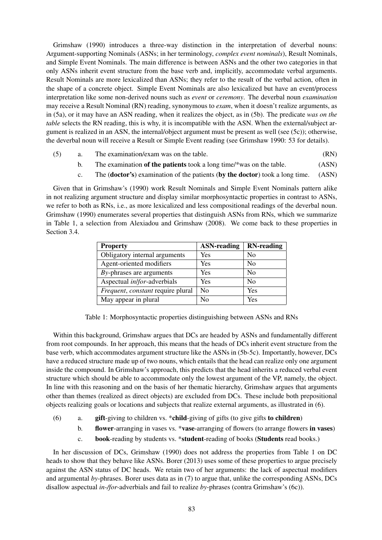Grimshaw (1990) introduces a three-way distinction in the interpretation of deverbal nouns: Argument-supporting Nominals (ASNs; in her terminology, *complex event nominals*), Result Nominals, and Simple Event Nominals. The main difference is between ASNs and the other two categories in that only ASNs inherit event structure from the base verb and, implicitly, accommodate verbal arguments. Result Nominals are more lexicalized than ASNs; they refer to the result of the verbal action, often in the shape of a concrete object. Simple Event Nominals are also lexicalized but have an event/process interpretation like some non-derived nouns such as *event* or *ceremony*. The deverbal noun *examination* may receive a Result Nominal (RN) reading, synonymous to *exam*, when it doesn't realize arguments, as in (5a), or it may have an ASN reading, when it realizes the object, as in (5b). The predicate *was on the table* selects the RN reading, this is why, it is incompatible with the ASN. When the external/subject argument is realized in an ASN, the internal/object argument must be present as well (see (5c)); otherwise, the deverbal noun will receive a Result or Simple Event reading (see Grimshaw 1990: 53 for details).

- (5) a. The examination/exam was on the table. (RN)
	- b. The examination of the patients took a long time/\*was on the table. (ASN)
	- c. The (doctor's) examination of the patients (by the doctor) took a long time. (ASN)

Given that in Grimshaw's (1990) work Result Nominals and Simple Event Nominals pattern alike in not realizing argument structure and display similar morphosyntactic properties in contrast to ASNs, we refer to both as RNs, i.e., as more lexicalized and less compositional readings of the deverbal noun. Grimshaw (1990) enumerates several properties that distinguish ASNs from RNs, which we summarize in Table 1, a selection from Alexiadou and Grimshaw (2008). We come back to these properties in Section 3.4.

| <b>Property</b>                    | <b>ASN-reading</b> | <b>RN-reading</b> |
|------------------------------------|--------------------|-------------------|
| Obligatory internal arguments      | Yes                | N <sub>0</sub>    |
| Agent-oriented modifiers           | Yes                | N <sub>0</sub>    |
| $By$ -phrases are arguments        | Yes                | N <sub>0</sub>    |
| Aspectual <i>in/for-adverbials</i> | Yes                | No                |
| Frequent, constant require plural  | No                 | Yes               |
| May appear in plural               | N <sub>0</sub>     | Yes               |

Table 1: Morphosyntactic properties distinguishing between ASNs and RNs

Within this background, Grimshaw argues that DCs are headed by ASNs and fundamentally different from root compounds. In her approach, this means that the heads of DCs inherit event structure from the base verb, which accommodates argument structure like the ASNs in (5b-5c). Importantly, however, DCs have a reduced structure made up of two nouns, which entails that the head can realize only one argument inside the compound. In Grimshaw's approach, this predicts that the head inherits a reduced verbal event structure which should be able to accommodate only the lowest argument of the VP, namely, the object. In line with this reasoning and on the basis of her thematic hierarchy, Grimshaw argues that arguments other than themes (realized as direct objects) are excluded from DCs. These include both prepositional objects realizing goals or locations and subjects that realize external arguments, as illustrated in (6).

- (6) a. gift-giving to children vs. \*child-giving of gifts (to give gifts to children)
	- b. **flower-**arranging in vases vs. \***vase**-arranging of flowers (to arrange flowers in **vases**)
	- c. book-reading by students vs. \***student**-reading of books (**Students** read books.)

In her discussion of DCs, Grimshaw (1990) does not address the properties from Table 1 on DC heads to show that they behave like ASNs. Borer (2013) uses some of these properties to argue precisely against the ASN status of DC heads. We retain two of her arguments: the lack of aspectual modifiers and argumental *by*-phrases. Borer uses data as in (7) to argue that, unlike the corresponding ASNs, DCs disallow aspectual *in-/for-*adverbials and fail to realize *by*-phrases (contra Grimshaw's (6c)).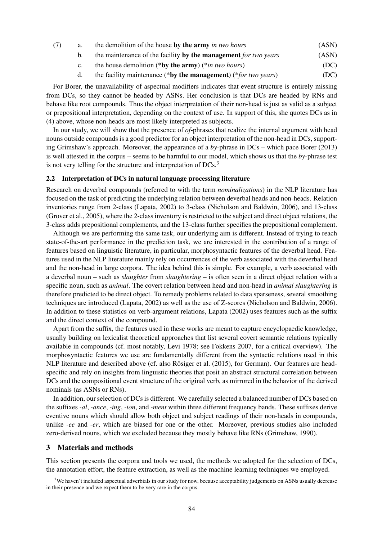| (7) |  | the demolition of the house by the army in two hours                                                            | (ASN) |
|-----|--|-----------------------------------------------------------------------------------------------------------------|-------|
|     |  | the contract of the contract of the contract of the contract of the contract of the contract of the contract of |       |

- b. the maintenance of the facility by the management *for two years* (ASN)
- c. the house demolition (\*by the army) (\**in two hours*) (DC)
- d. the facility maintenance (\*by the management) (\**for two years*) (DC)

For Borer, the unavailability of aspectual modifiers indicates that event structure is entirely missing from DCs, so they cannot be headed by ASNs. Her conclusion is that DCs are headed by RNs and behave like root compounds. Thus the object interpretation of their non-head is just as valid as a subject or prepositional interpretation, depending on the context of use. In support of this, she quotes DCs as in (4) above, whose non-heads are most likely interpreted as subjects.

In our study, we will show that the presence of *of*-phrases that realize the internal argument with head nouns outside compounds is a good predictor for an object interpretation of the non-head in DCs, supporting Grimshaw's approach. Moreover, the appearance of a *by*-phrase in DCs – which pace Borer (2013) is well attested in the corpus – seems to be harmful to our model, which shows us that the *by*-phrase test is not very telling for the structure and interpretation of DCs.<sup>3</sup>

### 2.2 Interpretation of DCs in natural language processing literature

Research on deverbal compounds (referred to with the term *nominalizations*) in the NLP literature has focused on the task of predicting the underlying relation between deverbal heads and non-heads. Relation inventories range from 2-class (Lapata, 2002) to 3-class (Nicholson and Baldwin, 2006), and 13-class (Grover et al., 2005), where the 2-class inventory is restricted to the subject and direct object relations, the 3-class adds prepositional complements, and the 13-class further specifies the prepositional complement.

Although we are performing the same task, our underlying aim is different. Instead of trying to reach state-of-the-art performance in the prediction task, we are interested in the contribution of a range of features based on linguistic literature, in particular, morphosyntactic features of the deverbal head. Features used in the NLP literature mainly rely on occurrences of the verb associated with the deverbal head and the non-head in large corpora. The idea behind this is simple. For example, a verb associated with a deverbal noun – such as *slaughter* from *slaughtering* – is often seen in a direct object relation with a specific noun, such as *animal*. The covert relation between head and non-head in *animal slaughtering* is therefore predicted to be direct object. To remedy problems related to data sparseness, several smoothing techniques are introduced (Lapata, 2002) as well as the use of Z-scores (Nicholson and Baldwin, 2006). In addition to these statistics on verb-argument relations, Lapata (2002) uses features such as the suffix and the direct context of the compound.

Apart from the suffix, the features used in these works are meant to capture encyclopaedic knowledge, usually building on lexicalist theoretical approaches that list several covert semantic relations typically available in compounds (cf. most notably, Levi 1978; see Fokkens 2007, for a critical overview). The morphosyntactic features we use are fundamentally different from the syntactic relations used in this NLP literature and described above (cf. also Rösiger et al. (2015), for German). Our features are headspecific and rely on insights from linguistic theories that posit an abstract structural correlation between DCs and the compositional event structure of the original verb, as mirrored in the behavior of the derived nominals (as ASNs or RNs).

In addition, our selection of DCs is different. We carefully selected a balanced number of DCs based on the suffixes *-al*, *-ance*, *-ing*, *-ion*, and *-ment* within three different frequency bands. These suffixes derive eventive nouns which should allow both object and subject readings of their non-heads in compounds, unlike *-ee* and *-er*, which are biased for one or the other. Moreover, previous studies also included zero-derived nouns, which we excluded because they mostly behave like RNs (Grimshaw, 1990).

### 3 Materials and methods

This section presents the corpora and tools we used, the methods we adopted for the selection of DCs, the annotation effort, the feature extraction, as well as the machine learning techniques we employed.

<sup>&</sup>lt;sup>3</sup>We haven't included aspectual adverbials in our study for now, because acceptability judgements on ASNs usually decrease in their presence and we expect them to be very rare in the corpus.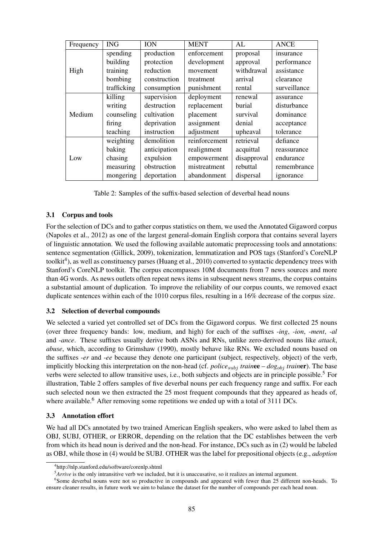| Frequency | <b>ING</b>  | <b>ION</b>   | <b>MENT</b>   | AL          | <b>ANCE</b>  |
|-----------|-------------|--------------|---------------|-------------|--------------|
| High      | spending    | production   | enforcement   | proposal    | insurance    |
|           | building    | protection   | development   | approval    | performance  |
|           | training    | reduction    | movement      | withdrawal  | assistance   |
|           | bombing     | construction | treatment     | arrival     | clearance    |
|           | trafficking | consumption  | punishment    | rental      | surveillance |
| Medium    | killing     | supervision  | deployment    | renewal     | assurance    |
|           | writing     | destruction  | replacement   | burial      | disturbance  |
|           | counseling  | cultivation  | placement     | survival    | dominance    |
|           | firing      | deprivation  | assignment    | denial      | acceptance   |
|           | teaching    | instruction  | adjustment    | upheaval    | tolerance    |
|           | weighting   | demolition   | reinforcement | retrieval   | defiance     |
| Low       | baking      | anticipation | realignment   | acquittal   | reassurance  |
|           | chasing     | expulsion    | empowerment   | disapproval | endurance    |
|           | measuring   | obstruction  | mistreatment  | rebuttal    | remembrance  |
|           | mongering   | deportation  | abandonment   | dispersal   | ignorance    |

Table 2: Samples of the suffix-based selection of deverbal head nouns

# 3.1 Corpus and tools

For the selection of DCs and to gather corpus statistics on them, we used the Annotated Gigaword corpus (Napoles et al., 2012) as one of the largest general-domain English corpora that contains several layers of linguistic annotation. We used the following available automatic preprocessing tools and annotations: sentence segmentation (Gillick, 2009), tokenization, lemmatization and POS tags (Stanford's CoreNLP toolkit<sup>4</sup>), as well as constituency parses (Huang et al., 2010) converted to syntactic dependency trees with Stanford's CoreNLP toolkit. The corpus encompasses 10M documents from 7 news sources and more than 4G words. As news outlets often repeat news items in subsequent news streams, the corpus contains a substantial amount of duplication. To improve the reliability of our corpus counts, we removed exact duplicate sentences within each of the 1010 corpus files, resulting in a 16% decrease of the corpus size.

### 3.2 Selection of deverbal compounds

We selected a varied yet controlled set of DCs from the Gigaword corpus. We first collected 25 nouns (over three frequency bands: low, medium, and high) for each of the suffixes *-ing*, *-ion*, *-ment*, *-al* and *-ance*. These suffixes usually derive both ASNs and RNs, unlike zero-derived nouns like *attack*, *abuse*, which, according to Grimshaw (1990), mostly behave like RNs. We excluded nouns based on the suffixes *-er* and *-ee* because they denote one participant (subject, respectively, object) of the verb, implicitly blocking this interpretation on the non-head (cf. *police<sub>subj</sub> trainee – dog<sub>obj</sub> trainer*). The base verbs were selected to allow transitive uses, i.e., both subjects and objects are in principle possible.<sup>5</sup> For illustration, Table 2 offers samples of five deverbal nouns per each frequency range and suffix. For each such selected noun we then extracted the 25 most frequent compounds that they appeared as heads of, where available.<sup>6</sup> After removing some repetitions we ended up with a total of 3111 DCs.

### 3.3 Annotation effort

We had all DCs annotated by two trained American English speakers, who were asked to label them as OBJ, SUBJ, OTHER, or ERROR, depending on the relation that the DC establishes between the verb from which its head noun is derived and the non-head. For instance, DCs such as in (2) would be labeled as OBJ, while those in (4) would be SUBJ. OTHER was the label for prepositional objects (e.g., *adoption*

<sup>4</sup> http://nlp.stanford.edu/software/corenlp.shtml

<sup>5</sup>*Arrive* is the only intransitive verb we included, but it is unaccusative, so it realizes an internal argument.

<sup>&</sup>lt;sup>6</sup>Some deverbal nouns were not so productive in compounds and appeared with fewer than 25 different non-heads. To ensure cleaner results, in future work we aim to balance the dataset for the number of compounds per each head noun.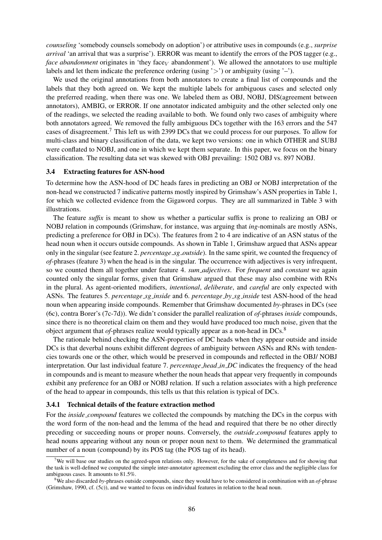*counseling* 'somebody counsels somebody on adoption') or attributive uses in compounds (e.g., *surprise arrival* 'an arrival that was a surprise'). ERROR was meant to identify the errors of the POS tagger (e.g., *face abandonment* originates in 'they face<sub>V</sub> abandonment'). We allowed the annotators to use multiple labels and let them indicate the preference ordering (using '>') or ambiguity (using '-').

We used the original annotations from both annotators to create a final list of compounds and the labels that they both agreed on. We kept the multiple labels for ambiguous cases and selected only the preferred reading, when there was one. We labeled them as OBJ, NOBJ, DIS(agreement between annotators), AMBIG, or ERROR. If one annotator indicated ambiguity and the other selected only one of the readings, we selected the reading available to both. We found only two cases of ambiguity where both annotators agreed. We removed the fully ambiguous DCs together with the 163 errors and the 547 cases of disagreement.<sup>7</sup> This left us with 2399 DCs that we could process for our purposes. To allow for multi-class and binary classification of the data, we kept two versions: one in which OTHER and SUBJ were conflated to NOBJ, and one in which we kept them separate. In this paper, we focus on the binary classification. The resulting data set was skewed with OBJ prevailing: 1502 OBJ vs. 897 NOBJ.

#### 3.4 Extracting features for ASN-hood

To determine how the ASN-hood of DC heads fares in predicting an OBJ or NOBJ interpretation of the non-head we constructed 7 indicative patterns mostly inspired by Grimshaw's ASN properties in Table 1, for which we collected evidence from the Gigaword corpus. They are all summarized in Table 3 with illustrations.

The feature *suffix* is meant to show us whether a particular suffix is prone to realizing an OBJ or NOBJ relation in compounds (Grimshaw, for instance, was arguing that *ing*-nominals are mostly ASNs, predicting a preference for OBJ in DCs). The features from 2 to 4 are indicative of an ASN status of the head noun when it occurs outside compounds. As shown in Table 1, Grimshaw argued that ASNs appear only in the singular (see feature 2. *percentage sg outside*). In the same spirit, we counted the frequency of *of*-phrases (feature 3) when the head is in the singular. The occurrence with adjectives is very infrequent, so we counted them all together under feature 4. *sum adjectives*. For *frequent* and *constant* we again counted only the singular forms, given that Grimshaw argued that these may also combine with RNs in the plural. As agent-oriented modifiers, *intentional*, *deliberate*, and *careful* are only expected with ASNs. The features 5. *percentage sg inside* and 6. *percentage by sg inside* test ASN-hood of the head noun when appearing inside compounds. Remember that Grimshaw documented *by*-phrases in DCs (see (6c), contra Borer's (7c-7d)). We didn't consider the parallel realization of *of*-phrases *inside* compounds, since there is no theoretical claim on them and they would have produced too much noise, given that the object argument that *of*-phrases realize would typically appear as a non-head in DCs.<sup>8</sup>

The rationale behind checking the ASN-properties of DC heads when they appear outside and inside DCs is that deverbal nouns exhibit different degrees of ambiguity between ASNs and RNs with tendencies towards one or the other, which would be preserved in compounds and reflected in the OBJ/ NOBJ interpretation. Our last individual feature 7. *percentage head in DC* indicates the frequency of the head in compounds and is meant to measure whether the noun heads that appear very frequently in compounds exhibit any preference for an OBJ or NOBJ relation. If such a relation associates with a high preference of the head to appear in compounds, this tells us that this relation is typical of DCs.

#### 3.4.1 Technical details of the feature extraction method

For the *inside compound* features we collected the compounds by matching the DCs in the corpus with the word form of the non-head and the lemma of the head and required that there be no other directly preceding or succeeding nouns or proper nouns. Conversely, the *outside compound* features apply to head nouns appearing without any noun or proper noun next to them. We determined the grammatical number of a noun (compound) by its POS tag (the POS tag of its head).

<sup>&</sup>lt;sup>7</sup>We will base our studies on the agreed-upon relations only. However, for the sake of completeness and for showing that the task is well-defined we computed the simple inter-annotator agreement excluding the error class and the negligible class for ambiguous cases. It amounts to 81.5%.

<sup>8</sup>We also discarded *by*-phrases outside compounds, since they would have to be considered in combination with an *of*-phrase (Grimshaw, 1990, cf. (5c)), and we wanted to focus on individual features in relation to the head noun.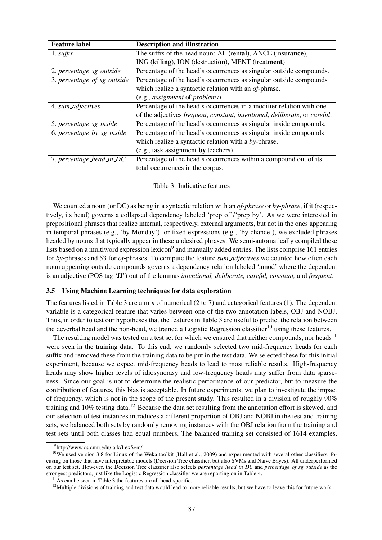| <b>Feature label</b>        | <b>Description and illustration</b>                                        |  |  |
|-----------------------------|----------------------------------------------------------------------------|--|--|
| 1. $\int f(x) dx$           | The suffix of the head noun: AL (rental), ANCE (insurance),                |  |  |
|                             | ING (killing), ION (destruction), MENT (treatment)                         |  |  |
| 2. percentage_sg_outside    | Percentage of the head's occurrences as singular outside compounds.        |  |  |
| 3. percentage_of_sg_outside | Percentage of the head's occurrences as singular outside compounds         |  |  |
|                             | which realize a syntactic relation with an of-phrase.                      |  |  |
|                             | (e.g., <i>assignment</i> of <i>problems</i> ).                             |  |  |
| 4. sum_adjectives           | Percentage of the head's occurrences in a modifier relation with one       |  |  |
|                             | of the adjectives frequent, constant, intentional, deliberate, or careful. |  |  |
| 5. percentage_sg_inside     | Percentage of the head's occurrences as singular inside compounds.         |  |  |
| 6. percentage_by_sg_inside  | Percentage of the head's occurrences as singular inside compounds          |  |  |
|                             | which realize a syntactic relation with a by-phrase.                       |  |  |
|                             | (e.g., task assignment by teachers)                                        |  |  |
| 7. percentage_head_in_DC    | Percentage of the head's occurrences within a compound out of its          |  |  |
|                             | total occurrences in the corpus.                                           |  |  |

#### Table 3: Indicative features

We counted a noun (or DC) as being in a syntactic relation with an *of-phrase* or *by-phrase*, if it (respectively, its head) governs a collapsed dependency labeled 'prep\_of'/'prep\_by'. As we were interested in prepositional phrases that realize internal, respectively, external arguments, but not in the ones appearing in temporal phrases (e.g., 'by Monday') or fixed expressions (e.g., 'by chance'), we excluded phrases headed by nouns that typically appear in these undesired phrases. We semi-automatically compiled these lists based on a multiword expression lexicon<sup>9</sup> and manually added entries. The lists comprise 161 entries for *by*-phrases and 53 for *of*-phrases. To compute the feature *sum adjectives* we counted how often each noun appearing outside compounds governs a dependency relation labeled 'amod' where the dependent is an adjective (POS tag 'JJ') out of the lemmas *intentional, deliberate, careful, constant,* and *frequent*.

#### 3.5 Using Machine Learning techniques for data exploration

The features listed in Table 3 are a mix of numerical (2 to 7) and categorical features (1). The dependent variable is a categorical feature that varies between one of the two annotation labels, OBJ and NOBJ. Thus, in order to test our hypotheses that the features in Table 3 are useful to predict the relation between the deverbal head and the non-head, we trained a Logistic Regression classifier<sup>10</sup> using these features.

The resulting model was tested on a test set for which we ensured that neither compounds, nor heads<sup>11</sup> were seen in the training data. To this end, we randomly selected two mid-frequency heads for each suffix and removed these from the training data to be put in the test data. We selected these for this initial experiment, because we expect mid-frequency heads to lead to most reliable results. High-frequency heads may show higher levels of idiosyncrasy and low-frequency heads may suffer from data sparseness. Since our goal is not to determine the realistic performance of our predictor, but to measure the contribution of features, this bias is acceptable. In future experiments, we plan to investigate the impact of frequency, which is not in the scope of the present study. This resulted in a division of roughly 90% training and 10% testing data.<sup>12</sup> Because the data set resulting from the annotation effort is skewed, and our selection of test instances introduces a different proportion of OBJ and NOBJ in the test and training sets, we balanced both sets by randomly removing instances with the OBJ relation from the training and test sets until both classes had equal numbers. The balanced training set consisted of 1614 examples,

<sup>9</sup> http://www.cs.cmu.edu/ ark/LexSem/

<sup>&</sup>lt;sup>10</sup>We used version 3.8 for Linux of the Weka toolkit (Hall et al., 2009) and experimented with several other classifiers, focusing on those that have interpretable models (Decision Tree classifier, but also SVMs and Naive Bayes). All underperformed on our test set. However, the Decision Tree classifier also selects *percentage head in DC* and *percentage of sg outside* as the strongest predictors, just like the Logistic Regression classifier we are reporting on in Table 4.

 $11$ As can be seen in Table 3 the features are all head-specific.

 $12$ Multiple divisions of training and test data would lead to more reliable results, but we have to leave this for future work.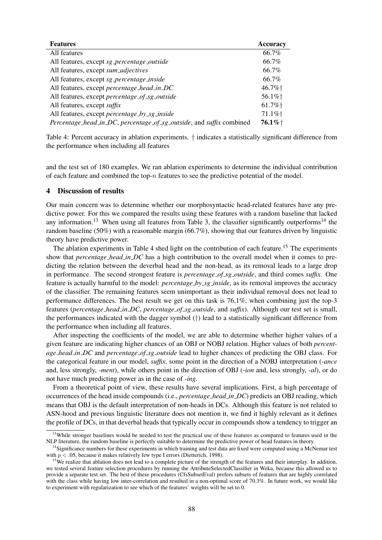| <b>Features</b>                                                      | <b>Accuracy</b>       |
|----------------------------------------------------------------------|-----------------------|
| All features                                                         | 66.7%                 |
| All features, except sg_percentage_outside                           | 66.7%                 |
| All features, except sum_adjectives                                  | 66.7%                 |
| All features, except sg_percentage_inside                            | 66.7%                 |
| All features, except percentage_head_in_DC                           | 46.7%+                |
| All features, except <i>percentage_of_sg_outside</i>                 | 56.1%+                |
| All features, except <i>suffix</i>                                   | 61.7%                 |
| All features, except <i>percentage_by_sg_inside</i>                  | 71.1%+                |
| Percentage_head_in_DC, percentage_of_sg_outside, and suffix combined | $76.1\%$ <sup>+</sup> |

Table 4: Percent accuracy in ablation experiments. † indicates a statistically significant difference from the performance when including all features

and the test set of 180 examples. We ran ablation experiments to determine the individual contribution of each feature and combined the top- $n$  features to see the predictive potential of the model.

### 4 Discussion of results

Our main concern was to determine whether our morphosyntactic head-related features have any predictive power. For this we compared the results using these features with a random baseline that lacked any information.<sup>13</sup> When using all features from Table 3, the classifier significantly outperforms<sup>14</sup> the random baseline (50%) with a reasonable margin (66.7%), showing that our features driven by linguistic theory have predictive power.

The ablation experiments in Table 4 shed light on the contribution of each feature.<sup>15</sup> The experiments show that *percentage head in DC* has a high contribution to the overall model when it comes to predicting the relation between the deverbal head and the non-head, as its removal leads to a large drop in performance. The second strongest feature is *percentage of sg outside*, and third comes *suffix*. One feature is actually harmful to the model: *percentage by sg inside*, as its removal improves the accuracy of the classifier. The remaining features seem unimportant as their individual removal does not lead to performance differences. The best result we get on this task is 76,1%, when combining just the top-3 features (*percentage head in DC*, *percentage of sg outside*, and *suffix*). Although our test set is small, the performances indicated with the dagger symbol (†) lead to a statistically significant difference from the performance when including all features.

After inspecting the coefficients of the model, we are able to determine whether higher values of a given feature are indicating higher chances of an OBJ or NOBJ relation. Higher values of both *percentage head in DC* and *percentage of sg outside* lead to higher chances of predicting the OBJ class. For the categorical feature in our model, *suffix*, some point in the direction of a NOBJ interpretation (*-ance* and, less strongly, *-ment*), while others point in the direction of OBJ (*-ion* and, less strongly, *-al*), or do not have much predicting power as in the case of *-ing*.

From a theoretical point of view, these results have several implications. First, a high percentage of occurrences of the head inside compounds (i.e., *percentage head in DC*) predicts an OBJ reading, which means that OBJ is the default interpretation of non-heads in DCs. Although this feature is not related to ASN-hood and previous linguistic literature does not mention it, we find it highly relevant as it defines the profile of DCs, in that deverbal heads that typically occur in compounds show a tendency to trigger an

<sup>&</sup>lt;sup>13</sup>While stronger baselines would be needed to test the practical use of these features as compared to features used in the NLP literature, the random baseline is perfectly suitable to determine the predictive power of head features in theory.

 $14$ Significance numbers for these experiments in which training and test data are fixed were computed using a McNemar test with  $p < .05$ , because it makes relatively few type I errors (Dietterich, 1998).

<sup>&</sup>lt;sup>15</sup>We realize that ablation does not lead to a complete picture of the strength of the features and their interplay. In addition, we tested several feature selection procedures by running the AttributeSelectedClassifier in Weka, because this allowed us to provide a separate test set. The best of these procedures (CfsSubsetEval) prefers subsets of features that are highly correlated with the class while having low inter-correlation and resulted in a non-optimal score of 70.3%. In future work, we would like to experiment with regularization to see which of the features' weights will be set to 0.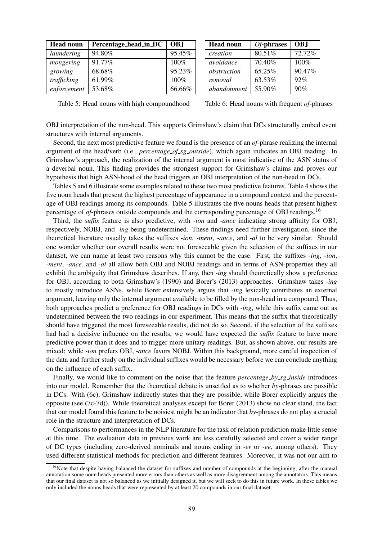| <b>Head noun</b> | Percentage_head_in_DC | <b>OBJ</b> |
|------------------|-----------------------|------------|
| laundering       | 94.80%                | 95.45%     |
| mongering        | 91.77%                | 100%       |
| growing          | 68.68%                | 95.23%     |
| trafficking      | 61.99%                | 100%       |
| enforcement      | 53.68%                | 66.66%     |

Head noun  $\int$  *Of*-phrases  $\int$  OBJ *creation* 80.51\% 72.72\% *avoidance* | 70.40% | 100% *obstruction* 65.25% 90.47% *removal* 63.53% 92% *abandonment* 55.90% 90%

Table 5: Head nouns with high compoundhood

Table 6: Head nouns with frequent *of*-phrases

OBJ interpretation of the non-head. This supports Grimshaw's claim that DCs structurally embed event structures with internal arguments.

Second, the next most predictive feature we found is the presence of an *of*-phrase realizing the internal argument of the head/verb (i.e., *percentage of sg outside*), which again indicates an OBJ reading. In Grimshaw's approach, the realization of the internal argument is most indicative of the ASN status of a deverbal noun. This finding provides the strongest support for Grimshaw's claims and proves our hypothesis that high ASN-hood of the head triggers an OBJ interpretation of the non-head in DCs.

Tables 5 and 6 illustrate some examples related to these two most predictive features. Table 4 shows the five noun heads that present the highest percentage of appearance in a compound context and the percentage of OBJ readings among its compounds. Table 5 illustrates the five nouns heads that present highest percentage of *of*-phrases outside compounds and the corresponding percentage of OBJ readings.<sup>16</sup>

Third, the *suffix* feature is also predictive, with *-ion* and *-ance* indicating strong affinity for OBJ, respectively, NOBJ, and *-ing* being undetermined. These findings need further investigation, since the theoretical literature usually takes the suffixes *-ion*, *-ment*, *-ance*, and *-al* to be very similar. Should one wonder whether our overall results were not foreseeable given the selection of the suffixes in our dataset, we can name at least two reasons why this cannot be the case. First, the suffixes *-ing*, *-ion*, *-ment*, *-ance*, and *-al* all allow both OBJ and NOBJ readings and in terms of ASN-properties they all exhibit the ambiguity that Grimshaw describes. If any, then *-ing* should theoretically show a preference for OBJ, according to both Grimshaw's (1990) and Borer's (2013) approaches. Grimshaw takes *-ing* to mostly introduce ASNs, while Borer extensively argues that *-ing* lexically contributes an external argument, leaving only the internal argument available to be filled by the non-head in a compound. Thus, both approaches predict a preference for OBJ readings in DCs with *-ing*, while this suffix came out as undetermined between the two readings in our experiment. This means that the suffix that theoretically should have triggered the most foreseeable results, did not do so. Second, if the selection of the suffixes had had a decisive influence on the results, we would have expected the *suffix* feature to have more predictive power than it does and to trigger more unitary readings. But, as shown above, our results are mixed: while *-ion* prefers OBJ, *-ance* favors NOBJ. Within this background, more careful inspection of the data and further study on the individual suffixes would be necessary before we can conclude anything on the influence of each suffix.

Finally, we would like to comment on the noise that the feature *percentage by sg inside* introduces into our model. Remember that the theoretical debate is unsettled as to whether *by*-phrases are possible in DCs. With (6c), Grimshaw indirectly states that they are possible, while Borer explicitly argues the opposite (see (7c-7d)). While theoretical analyses except for Borer (2013) show no clear stand, the fact that our model found this feature to be noisiest might be an indicator that *by*-phrases do not play a crucial role in the structure and interpretation of DCs.

Comparisons to performances in the NLP literature for the task of relation prediction make little sense at this time. The evaluation data in previous work are less carefully selected and cover a wider range of DC types (including zero-derived nominals and nouns ending in *-er* or *-ee*, among others). They used different statistical methods for prediction and different features. Moreover, it was not our aim to

 $<sup>16</sup>$ Note that despite having balanced the dataset for suffixes and number of compounds at the beginning, after the manual</sup> annotation some noun heads presented more errors than others as well as more disagreement among the annotators. This means that our final dataset is not so balanced as we initially designed it, but we will seek to do this in future work. In these tables we only included the nouns heads that were represented by at least 20 compounds in our final dataset.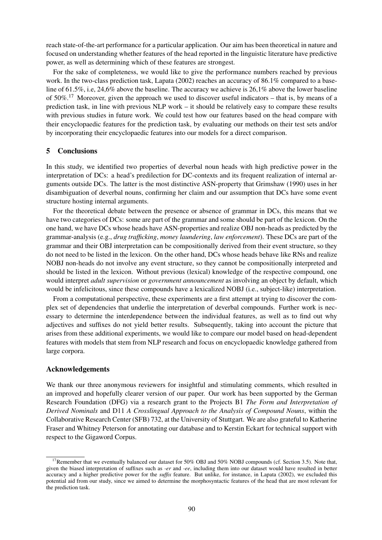reach state-of-the-art performance for a particular application. Our aim has been theoretical in nature and focused on understanding whether features of the head reported in the linguistic literature have predictive power, as well as determining which of these features are strongest.

For the sake of completeness, we would like to give the performance numbers reached by previous work. In the two-class prediction task, Lapata (2002) reaches an accuracy of 86.1% compared to a baseline of 61.5%, i.e, 24,6% above the baseline. The accuracy we achieve is 26,1% above the lower baseline of  $50\%$ .<sup>17</sup> Moreover, given the approach we used to discover useful indicators – that is, by means of a prediction task, in line with previous NLP work – it should be relatively easy to compare these results with previous studies in future work. We could test how our features based on the head compare with their encyclopaedic features for the prediction task, by evaluating our methods on their test sets and/or by incorporating their encyclopaedic features into our models for a direct comparison.

### 5 Conclusions

In this study, we identified two properties of deverbal noun heads with high predictive power in the interpretation of DCs: a head's predilection for DC-contexts and its frequent realization of internal arguments outside DCs. The latter is the most distinctive ASN-property that Grimshaw (1990) uses in her disambiguation of deverbal nouns, confirming her claim and our assumption that DCs have some event structure hosting internal arguments.

For the theoretical debate between the presence or absence of grammar in DCs, this means that we have two categories of DCs: some are part of the grammar and some should be part of the lexicon. On the one hand, we have DCs whose heads have ASN-properties and realize OBJ non-heads as predicted by the grammar-analysis (e.g., *drug trafficking*, *money laundering*, *law enforcement*). These DCs are part of the grammar and their OBJ interpretation can be compositionally derived from their event structure, so they do not need to be listed in the lexicon. On the other hand, DCs whose heads behave like RNs and realize NOBJ non-heads do not involve any event structure, so they cannot be compositionally interpreted and should be listed in the lexicon. Without previous (lexical) knowledge of the respective compound, one would interpret *adult supervision* or *government announcement* as involving an object by default, which would be infelicitous, since these compounds have a lexicalized NOBJ (i.e., subject-like) interpretation.

From a computational perspective, these experiments are a first attempt at trying to discover the complex set of dependencies that underlie the interpretation of deverbal compounds. Further work is necessary to determine the interdependence between the individual features, as well as to find out why adjectives and suffixes do not yield better results. Subsequently, taking into account the picture that arises from these additional experiments, we would like to compare our model based on head-dependent features with models that stem from NLP research and focus on encyclopaedic knowledge gathered from large corpora.

### Acknowledgements

We thank our three anonymous reviewers for insightful and stimulating comments, which resulted in an improved and hopefully clearer version of our paper. Our work has been supported by the German Research Foundation (DFG) via a research grant to the Projects B1 *The Form and Interpretation of Derived Nominals* and D11 *A Crosslingual Approach to the Analysis of Compound Nouns*, within the Collaborative Research Center (SFB) 732, at the University of Stuttgart. We are also grateful to Katherine Fraser and Whitney Peterson for annotating our database and to Kerstin Eckart for technical support with respect to the Gigaword Corpus.

<sup>&</sup>lt;sup>17</sup>Remember that we eventually balanced our dataset for 50% OBJ and 50% NOBJ compounds (cf. Section 3.5). Note that, given the biased interpretation of suffixes such as *-er* and *-ee*, including them into our dataset would have resulted in better accuracy and a higher predictive power for the *suffix* feature. But unlike, for instance, in Lapata (2002), we excluded this potential aid from our study, since we aimed to determine the morphosyntactic features of the head that are most relevant for the prediction task.